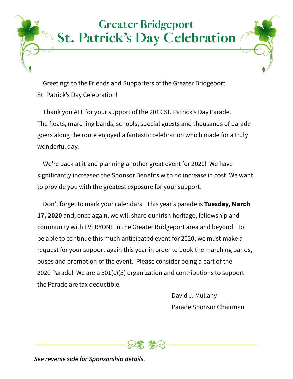### **Greater Bridgeport St. Patrick's Day Celebration**

Greetings to the Friends and Supporters of the Greater Bridgeport St. Patrick's Day Celebration!

Thank you ALL for your support of the 2019 St. Patrick's Day Parade. The floats, marching bands, schools, special guests and thousands of parade goers along the route enjoyed a fantastic celebration which made for a truly wonderful day.

We're back at it and planning another great event for 2020! We have significantly increased the Sponsor Benefits with no increase in cost. We want to provide you with the greatest exposure for your support.

Don't forget to mark your calendars! This year's parade is **Tuesday, March 17, 2020** and, once again, we will share our Irish heritage, fellowship and community with EVERYONE in the Greater Bridgeport area and beyond. To be able to continue this much anticipated event for 2020, we must make a request for your support again this year in order to book the marching bands, buses and promotion of the event. Please consider being a part of the 2020 Parade! We are a 501(c)(3) organization and contributions to support the Parade are tax deductible.

> David J. Mullany Parade Sponsor Chairman



*See reverse side for Sponsorship details.*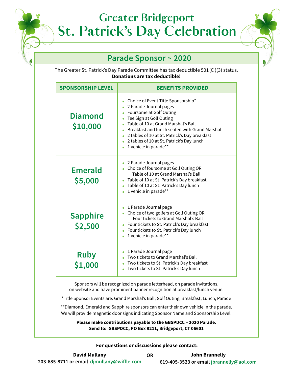## **Greater Bridgeport St. Patrick's Day Celebration**

### **Parade Sponsor ~ 2020**

The Greater St. Patrick's Day Parade Committee has tax deductible 501 (C )(3) status. **Donations are tax deductible!**

| <b>SPONSORSHIP LEVEL</b>   | <b>BENEFITS PROVIDED</b>                                                                                                                                                                                                                                                                                                          |
|----------------------------|-----------------------------------------------------------------------------------------------------------------------------------------------------------------------------------------------------------------------------------------------------------------------------------------------------------------------------------|
| <b>Diamond</b><br>\$10,000 | Choice of Event Title Sponsorship*<br>2 Parade Journal pages<br>Foursome at Golf Outing<br>Tee Sign at Golf Outing<br>Table of 10 at Grand Marshal's Ball<br>Breakfast and lunch seated with Grand Marshal<br>2 tables of 10 at St. Patrick's Day breakfast<br>2 tables of 10 at St. Patrick's Day lunch<br>1 vehicle in parade** |
| <b>Emerald</b><br>\$5,000  | 2 Parade Journal pages<br>Choice of foursome at Golf Outing OR<br>Table of 10 at Grand Marshal's Ball<br>Table of 10 at St. Patrick's Day breakfast<br>Table of 10 at St. Patrick's Day lunch<br>$\bullet$<br>1 vehicle in parade**<br>$\bullet$                                                                                  |
| <b>Sapphire</b><br>\$2,500 | 1 Parade Journal page<br>Choice of two golfers at Golf Outing OR<br>Four tickets to Grand Marshal's Ball<br>Four tickets to St. Patrick's Day breakfast<br>Four tickets to St. Patrick's Day lunch<br>$\bullet$<br>1 vehicle in parade**                                                                                          |
| <b>Ruby</b><br>\$1,000     | 1 Parade Journal page<br>Two tickets to Grand Marshal's Ball<br>Two tickets to St. Patrick's Day breakfast<br>Two tickets to St. Patrick's Day lunch<br>$\bullet$                                                                                                                                                                 |

Sponsors will be recognized on parade letterhead, on parade invitations, on website and have prominent banner recognition at breakfast/lunch venue.

\*Title Sponsor Events are: Grand Marshal's Ball, Golf Outing, Breakfast, Lunch, Parade

\*\*Diamond, Emerald and Sapphire sponsors can enter their own vehicle in the parade. We will provide magnetic door signs indicating Sponsor Name and Sponsorship Level.

**Please make contributions payable to the GBSPDCC – 2020 Parade. Send to: GBSPDCC, PO Box 9211, Bridgeport, CT 06601**

#### **For questions or discussions please contact:**